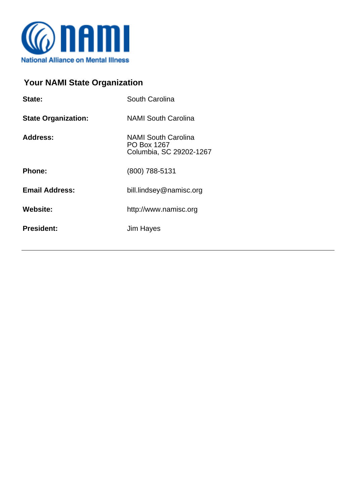

## **Your NAMI State Organization**

| State:                     | South Carolina                                                       |
|----------------------------|----------------------------------------------------------------------|
| <b>State Organization:</b> | <b>NAMI South Carolina</b>                                           |
| <b>Address:</b>            | <b>NAMI South Carolina</b><br>PO Box 1267<br>Columbia, SC 29202-1267 |
| <b>Phone:</b>              | (800) 788-5131                                                       |
| <b>Email Address:</b>      | bill.lindsey@namisc.org                                              |
| <b>Website:</b>            | http://www.namisc.org                                                |
| <b>President:</b>          | Jim Hayes                                                            |
|                            |                                                                      |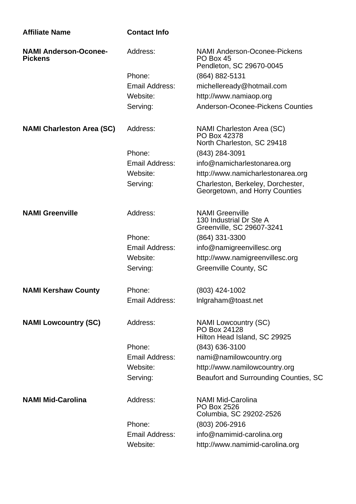| <b>Affiliate Name</b>                          | <b>Contact Info</b>   |                                                                                |
|------------------------------------------------|-----------------------|--------------------------------------------------------------------------------|
| <b>NAMI Anderson-Oconee-</b><br><b>Pickens</b> | Address:              | <b>NAMI Anderson-Oconee-Pickens</b><br>PO Box 45<br>Pendleton, SC 29670-0045   |
|                                                | Phone:                | $(864) 882 - 5131$                                                             |
|                                                | Email Address:        | michelleready@hotmail.com                                                      |
|                                                | Website:              | http://www.namiaop.org                                                         |
|                                                | Serving:              | Anderson-Oconee-Pickens Counties                                               |
| <b>NAMI Charleston Area (SC)</b>               | Address:              | NAMI Charleston Area (SC)<br>PO Box 42378<br>North Charleston, SC 29418        |
|                                                | Phone:                | $(843)$ 284-3091                                                               |
|                                                | Email Address:        | info@namicharlestonarea.org                                                    |
|                                                | Website:              | http://www.namicharlestonarea.org                                              |
|                                                | Serving:              | Charleston, Berkeley, Dorchester,<br>Georgetown, and Horry Counties            |
| <b>NAMI Greenville</b>                         | Address:              | <b>NAMI Greenville</b><br>130 Industrial Dr Ste A<br>Greenville, SC 29607-3241 |
|                                                | Phone:                | $(864)$ 331-3300                                                               |
|                                                | <b>Email Address:</b> | info@namigreenvillesc.org                                                      |
|                                                | Website:              | http://www.namigreenvillesc.org                                                |
|                                                | Serving:              | Greenville County, SC                                                          |
| <b>NAMI Kershaw County</b>                     | Phone:                | (803) 424-1002                                                                 |
|                                                | <b>Email Address:</b> | Inlgraham@toast.net                                                            |
| <b>NAMI Lowcountry (SC)</b>                    | Address:              | <b>NAMI Lowcountry (SC)</b><br>PO Box 24128<br>Hilton Head Island, SC 29925    |
|                                                | Phone:                | (843) 636-3100                                                                 |
|                                                | Email Address:        | nami@namilowcountry.org                                                        |
|                                                | Website:              | http://www.namilowcountry.org                                                  |
|                                                | Serving:              | Beaufort and Surrounding Counties, SC                                          |
| <b>NAMI Mid-Carolina</b>                       | Address:              | <b>NAMI Mid-Carolina</b><br>PO Box 2526<br>Columbia, SC 29202-2526             |
|                                                | Phone:                | $(803)$ 206-2916                                                               |
|                                                | Email Address:        | info@namimid-carolina.org                                                      |
|                                                | Website:              | http://www.namimid-carolina.org                                                |
|                                                |                       |                                                                                |